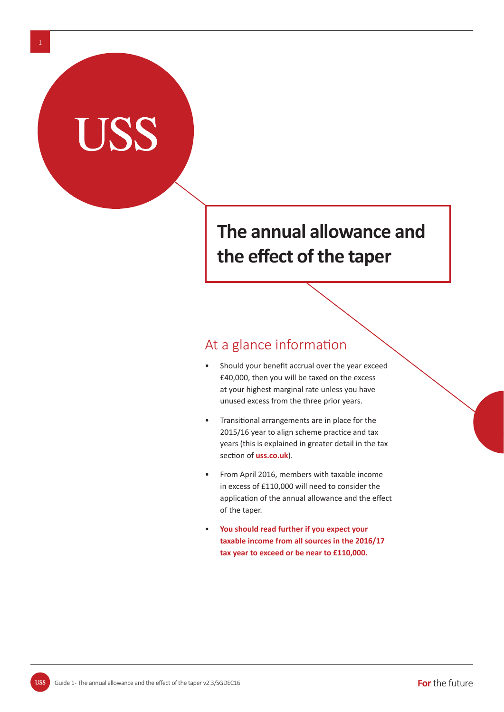# **The annual allowance and the eff ect of the taper**

## At a glance information

- Should your benefit accrual over the year exceed £40,000, then you will be taxed on the excess at your highest marginal rate unless you have unused excess from the three prior years.
- Transitional arrangements are in place for the 2015/16 year to align scheme practice and tax years (this is explained in greater detail in the tax section of **uss.co.uk**).
- From April 2016, members with taxable income in excess of £110,000 will need to consider the application of the annual allowance and the effect of the taper.
- • **You should read further if you expect your taxable income from all sources in the 2016/17 tax year to exceed or be near to £110,000.**

**USS**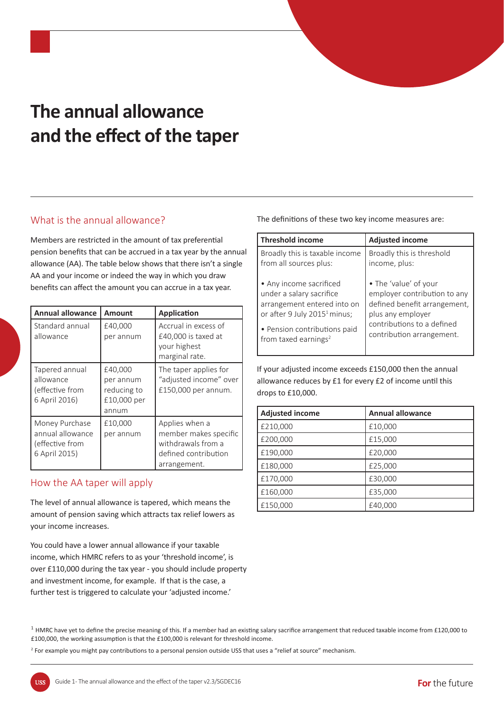# **The annual allowance and the eff ect of the taper**

### What is the annual allowance?

Members are restricted in the amount of tax preferential pension benefits that can be accrued in a tax year by the annual allowance (AA). The table below shows that there isn't a single AA and your income or indeed the way in which you draw benefits can affect the amount you can accrue in a tax year.

| <b>Annual allowance</b>                                                | Amount                                                      | <b>Application</b>                                                                                    |
|------------------------------------------------------------------------|-------------------------------------------------------------|-------------------------------------------------------------------------------------------------------|
| Standard annual<br>allowance                                           | £40,000<br>per annum                                        | Accrual in excess of<br>£40,000 is taxed at<br>your highest<br>marginal rate.                         |
| Tapered annual<br>allowance<br>(effective from<br>6 April 2016)        | £40,000<br>per annum<br>reducing to<br>£10,000 per<br>annum | The taper applies for<br>"adjusted income" over<br>£150,000 per annum.                                |
| Money Purchase<br>annual allowance<br>(effective from<br>6 April 2015) | £10,000<br>per annum                                        | Applies when a<br>member makes specific<br>withdrawals from a<br>defined contribution<br>arrangement. |

### How the AA taper will apply

The level of annual allowance is tapered, which means the amount of pension saving which attracts tax relief lowers as your income increases.

You could have a lower annual allowance if your taxable income, which HMRC refers to as your 'threshold income', is over £110,000 during the tax year - you should include property and investment income, for example. If that is the case, a further test is triggered to calculate your 'adjusted income.'

The definitions of these two key income measures are:

| <b>Threshold income</b>                  | <b>Adjusted income</b>       |
|------------------------------------------|------------------------------|
| Broadly this is taxable income           | Broadly this is threshold    |
| from all sources plus:                   | income, plus:                |
| • Any income sacrificed                  | • The 'value' of your        |
| under a salary sacrifice                 | employer contribution to any |
| arrangement entered into on              | defined benefit arrangement, |
| or after 9 July 2015 <sup>1</sup> minus; | plus any employer            |
| • Pension contributions paid             | contributions to a defined   |
| from taxed earnings <sup>2</sup>         | contribution arrangement.    |

If your adjusted income exceeds £150,000 then the annual allowance reduces by £1 for every £2 of income until this drops to £10,000.

| <b>Adjusted income</b> | <b>Annual allowance</b> |
|------------------------|-------------------------|
| £210,000               | £10,000                 |
| £200,000               | £15,000                 |
| £190,000               | £20,000                 |
| £180,000               | £25,000                 |
| £170,000               | £30,000                 |
| £160,000               | £35,000                 |
| £150,000               | £40,000                 |

<sup>2</sup> For example you might pay contributions to a personal pension outside USS that uses a "relief at source" mechanism.

 $1$  HMRC have yet to define the precise meaning of this. If a member had an existing salary sacrifice arrangement that reduced taxable income from £120,000 to £100,000, the working assumption is that the £100,000 is relevant for threshold income.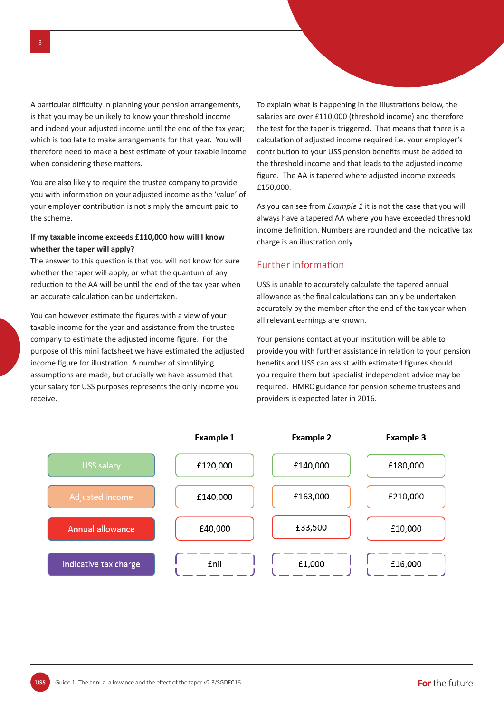A particular difficulty in planning your pension arrangements, is that you may be unlikely to know your threshold income and indeed your adjusted income until the end of the tax year; which is too late to make arrangements for that year. You will therefore need to make a best estimate of your taxable income when considering these matters.

You are also likely to require the trustee company to provide you with information on your adjusted income as the 'value' of your employer contribution is not simply the amount paid to the scheme.

#### **If my taxable income exceeds £110,000 how will I know whether the taper will apply?**

The answer to this question is that you will not know for sure whether the taper will apply, or what the quantum of any reduction to the AA will be until the end of the tax year when an accurate calculation can be undertaken.

You can however estimate the figures with a view of your taxable income for the year and assistance from the trustee company to estimate the adjusted income figure. For the purpose of this mini factsheet we have estimated the adjusted income figure for illustration. A number of simplifying assumptions are made, but crucially we have assumed that your salary for USS purposes represents the only income you receive.

To explain what is happening in the illustrations below, the salaries are over £110,000 (threshold income) and therefore the test for the taper is triggered. That means that there is a calculation of adjusted income required *i.e.* your employer's contribution to your USS pension benefits must be added to the threshold income and that leads to the adjusted income figure. The AA is tapered where adjusted income exceeds £150,000.

As you can see from *Example 1* it is not the case that you will always have a tapered AA where you have exceeded threshold income definition. Numbers are rounded and the indicative tax charge is an illustration only.

#### Further information

USS is unable to accurately calculate the tapered annual allowance as the final calculations can only be undertaken accurately by the member after the end of the tax year when all relevant earnings are known.

Your pensions contact at your institution will be able to provide you with further assistance in relation to your pension benefits and USS can assist with estimated figures should you require them but specialist independent advice may be required. HMRC guidance for pension scheme trustees and providers is expected later in 2016.